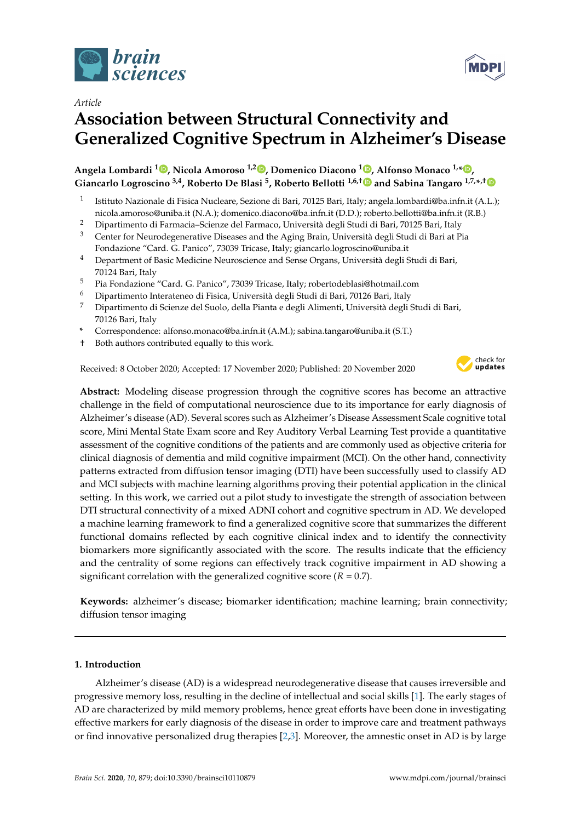



# **Association between Structural Connectivity and Generalized Cognitive Spectrum in Alzheimer's Disease**

# **Angela Lombardi <sup>1</sup> [,](https://orcid.org/0000-0003-1815-9522) Nicola Amoroso 1,2 [,](https://orcid.org/0000-0003-0211-0783) Domenico Diacono <sup>1</sup> [,](https://orcid.org/0000-0002-8060-5805) Alfonso Monaco 1,\* [,](https://orcid.org/0000-0002-5968-8642) Giancarlo Logroscino 3,4, Roberto De Blasi <sup>5</sup> , Roberto Bellotti 1,6,[†](https://orcid.org/0000-0003-3198-2708) and Sabina Tangaro 1,7,\* ,[†](https://orcid.org/0000-0002-1372-3916)**

- 1 Istituto Nazionale di Fisica Nucleare, Sezione di Bari, 70125 Bari, Italy; angela.lombardi@ba.infn.it (A.L.); nicola.amoroso@uniba.it (N.A.); domenico.diacono@ba.infn.it (D.D.); roberto.bellotti@ba.infn.it (R.B.)
- <sup>2</sup> Dipartimento di Farmacia–Scienze del Farmaco, Università degli Studi di Bari, 70125 Bari, Italy
- <sup>3</sup> Center for Neurodegenerative Diseases and the Aging Brain, Università degli Studi di Bari at Pia Fondazione "Card. G. Panico", 73039 Tricase, Italy; giancarlo.logroscino@uniba.it
- <sup>4</sup> Department of Basic Medicine Neuroscience and Sense Organs, Università degli Studi di Bari, 70124 Bari, Italy
- <sup>5</sup> Pia Fondazione "Card. G. Panico", 73039 Tricase, Italy; robertodeblasi@hotmail.com
- <sup>6</sup> Dipartimento Interateneo di Fisica, Università degli Studi di Bari, 70126 Bari, Italy
- <sup>7</sup> Dipartimento di Scienze del Suolo, della Pianta e degli Alimenti, Università degli Studi di Bari, 70126 Bari, Italy
- **\*** Correspondence: alfonso.monaco@ba.infn.it (A.M.); sabina.tangaro@uniba.it (S.T.)
- † Both authors contributed equally to this work.

Received: 8 October 2020; Accepted: 17 November 2020; Published: 20 November 2020



**Abstract:** Modeling disease progression through the cognitive scores has become an attractive challenge in the field of computational neuroscience due to its importance for early diagnosis of Alzheimer's disease (AD). Several scores such as Alzheimer's Disease Assessment Scale cognitive total score, Mini Mental State Exam score and Rey Auditory Verbal Learning Test provide a quantitative assessment of the cognitive conditions of the patients and are commonly used as objective criteria for clinical diagnosis of dementia and mild cognitive impairment (MCI). On the other hand, connectivity patterns extracted from diffusion tensor imaging (DTI) have been successfully used to classify AD and MCI subjects with machine learning algorithms proving their potential application in the clinical setting. In this work, we carried out a pilot study to investigate the strength of association between DTI structural connectivity of a mixed ADNI cohort and cognitive spectrum in AD. We developed a machine learning framework to find a generalized cognitive score that summarizes the different functional domains reflected by each cognitive clinical index and to identify the connectivity biomarkers more significantly associated with the score. The results indicate that the efficiency and the centrality of some regions can effectively track cognitive impairment in AD showing a significant correlation with the generalized cognitive score  $(R = 0.7)$ .

**Keywords:** alzheimer's disease; biomarker identification; machine learning; brain connectivity; diffusion tensor imaging

## **1. Introduction**

Alzheimer's disease (AD) is a widespread neurodegenerative disease that causes irreversible and progressive memory loss, resulting in the decline of intellectual and social skills [\[1\]](#page-13-0). The early stages of AD are characterized by mild memory problems, hence great efforts have been done in investigating effective markers for early diagnosis of the disease in order to improve care and treatment pathways or find innovative personalized drug therapies [\[2](#page-13-1)[,3\]](#page-13-2). Moreover, the amnestic onset in AD is by large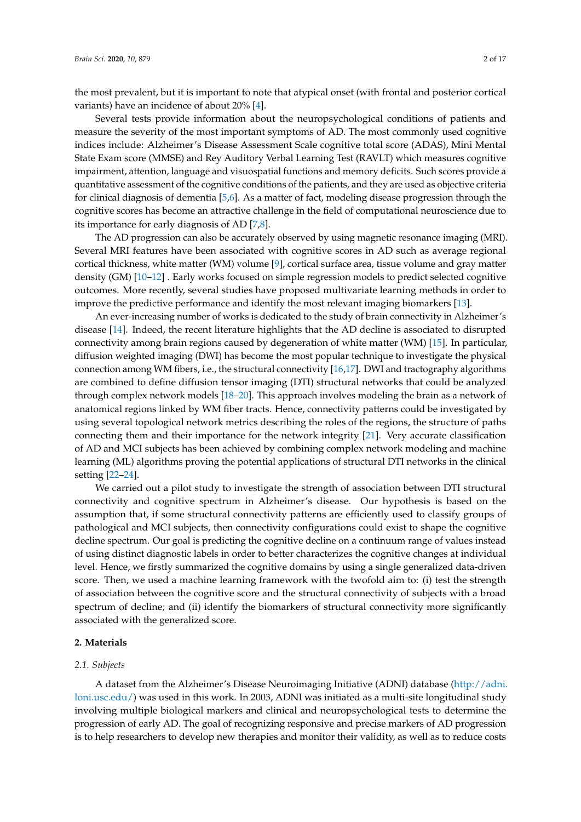the most prevalent, but it is important to note that atypical onset (with frontal and posterior cortical variants) have an incidence of about 20% [\[4\]](#page-13-3).

Several tests provide information about the neuropsychological conditions of patients and measure the severity of the most important symptoms of AD. The most commonly used cognitive indices include: Alzheimer's Disease Assessment Scale cognitive total score (ADAS), Mini Mental State Exam score (MMSE) and Rey Auditory Verbal Learning Test (RAVLT) which measures cognitive impairment, attention, language and visuospatial functions and memory deficits. Such scores provide a quantitative assessment of the cognitive conditions of the patients, and they are used as objective criteria for clinical diagnosis of dementia [\[5,](#page-13-4)[6\]](#page-13-5). As a matter of fact, modeling disease progression through the cognitive scores has become an attractive challenge in the field of computational neuroscience due to its importance for early diagnosis of AD [\[7,](#page-13-6)[8\]](#page-13-7).

The AD progression can also be accurately observed by using magnetic resonance imaging (MRI). Several MRI features have been associated with cognitive scores in AD such as average regional cortical thickness, white matter (WM) volume [\[9\]](#page-13-8), cortical surface area, tissue volume and gray matter density (GM) [\[10–](#page-13-9)[12\]](#page-13-10) . Early works focused on simple regression models to predict selected cognitive outcomes. More recently, several studies have proposed multivariate learning methods in order to improve the predictive performance and identify the most relevant imaging biomarkers [\[13\]](#page-13-11).

An ever-increasing number of works is dedicated to the study of brain connectivity in Alzheimer's disease [\[14\]](#page-13-12). Indeed, the recent literature highlights that the AD decline is associated to disrupted connectivity among brain regions caused by degeneration of white matter (WM) [\[15\]](#page-14-0). In particular, diffusion weighted imaging (DWI) has become the most popular technique to investigate the physical connection among WM fibers, i.e., the structural connectivity [\[16](#page-14-1)[,17\]](#page-14-2). DWI and tractography algorithms are combined to define diffusion tensor imaging (DTI) structural networks that could be analyzed through complex network models [\[18–](#page-14-3)[20\]](#page-14-4). This approach involves modeling the brain as a network of anatomical regions linked by WM fiber tracts. Hence, connectivity patterns could be investigated by using several topological network metrics describing the roles of the regions, the structure of paths connecting them and their importance for the network integrity [\[21\]](#page-14-5). Very accurate classification of AD and MCI subjects has been achieved by combining complex network modeling and machine learning (ML) algorithms proving the potential applications of structural DTI networks in the clinical setting [\[22](#page-14-6)[–24\]](#page-14-7).

We carried out a pilot study to investigate the strength of association between DTI structural connectivity and cognitive spectrum in Alzheimer's disease. Our hypothesis is based on the assumption that, if some structural connectivity patterns are efficiently used to classify groups of pathological and MCI subjects, then connectivity configurations could exist to shape the cognitive decline spectrum. Our goal is predicting the cognitive decline on a continuum range of values instead of using distinct diagnostic labels in order to better characterizes the cognitive changes at individual level. Hence, we firstly summarized the cognitive domains by using a single generalized data-driven score. Then, we used a machine learning framework with the twofold aim to: (i) test the strength of association between the cognitive score and the structural connectivity of subjects with a broad spectrum of decline; and (ii) identify the biomarkers of structural connectivity more significantly associated with the generalized score.

#### **2. Materials**

#### *2.1. Subjects*

A dataset from the Alzheimer's Disease Neuroimaging Initiative (ADNI) database [\(http://adni.](http://adni.loni.usc.edu/) [loni.usc.edu/\)](http://adni.loni.usc.edu/) was used in this work. In 2003, ADNI was initiated as a multi-site longitudinal study involving multiple biological markers and clinical and neuropsychological tests to determine the progression of early AD. The goal of recognizing responsive and precise markers of AD progression is to help researchers to develop new therapies and monitor their validity, as well as to reduce costs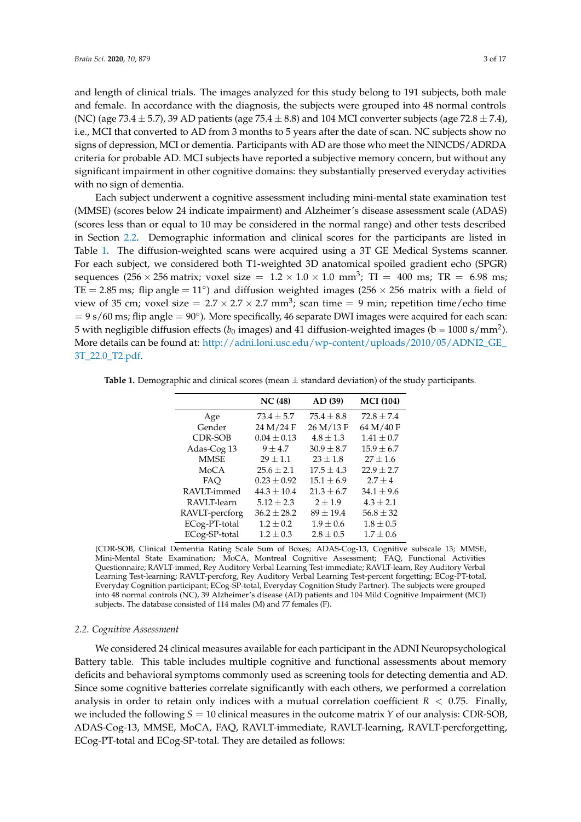and length of clinical trials. The images analyzed for this study belong to 191 subjects, both male and female. In accordance with the diagnosis, the subjects were grouped into 48 normal controls (NC) (age 73.4  $\pm$  5.7), 39 AD patients (age 75.4  $\pm$  8.8) and 104 MCI converter subjects (age 72.8  $\pm$  7.4), i.e., MCI that converted to AD from 3 months to 5 years after the date of scan. NC subjects show no signs of depression, MCI or dementia. Participants with AD are those who meet the NINCDS/ADRDA criteria for probable AD. MCI subjects have reported a subjective memory concern, but without any significant impairment in other cognitive domains: they substantially preserved everyday activities with no sign of dementia.

Each subject underwent a cognitive assessment including mini-mental state examination test (MMSE) (scores below 24 indicate impairment) and Alzheimer's disease assessment scale (ADAS) (scores less than or equal to 10 may be considered in the normal range) and other tests described in Section [2.2.](#page-2-0) Demographic information and clinical scores for the participants are listed in Table [1.](#page-2-1) The diffusion-weighted scans were acquired using a 3T GE Medical Systems scanner. For each subject, we considered both T1-weighted 3D anatomical spoiled gradient echo (SPGR) sequences (256  $\times$  256 matrix; voxel size = 1.2  $\times$  1.0  $\times$  1.0 mm<sup>3</sup>; TI = 400 ms; TR = 6.98 ms; TE = 2.85 ms; flip angle = 11<sup>°</sup>) and diffusion weighted images (256  $\times$  256 matrix with a field of view of 35 cm; voxel size =  $2.7 \times 2.7 \times 2.7$  mm<sup>3</sup>; scan time = 9 min; repetition time/echo time = 9 s/60 ms; flip angle = 90◦ ). More specifically, 46 separate DWI images were acquired for each scan: 5 with negligible diffusion effects ( $b_0$  images) and 41 diffusion-weighted images (b = 1000 s/mm<sup>2</sup>). More details can be found at: [http://adni.loni.usc.edu/wp-content/uploads/2010/05/ADNI2\\_GE\\_](http://adni.loni.usc.edu/wp-content/uploads/2010/05/ADNI2_GE_3T_22.0_T2.pdf) [3T\\_22.0\\_T2.pdf.](http://adni.loni.usc.edu/wp-content/uploads/2010/05/ADNI2_GE_3T_22.0_T2.pdf)

|                | NC(48)          | AD (39)        | <b>MCI</b> (104) |
|----------------|-----------------|----------------|------------------|
| Age            | $73.4 \pm 5.7$  | $75.4 + 8.8$   | $72.8 + 7.4$     |
| Gender         | 24 M/24 F       | 26 M/13 F      | 64 M/40 F        |
| <b>CDR-SOB</b> | $0.04 \pm 0.13$ | $4.8 \pm 1.3$  | $1.41 \pm 0.7$   |
| Adas-Cog 13    | $9 + 4.7$       | $30.9 \pm 8.7$ | $15.9 \pm 6.7$   |
| <b>MMSE</b>    | $29 + 1.1$      | $23 \pm 1.8$   | $27 + 1.6$       |
| MoCA           | $25.6 \pm 2.1$  | $17.5 \pm 4.3$ | $22.9 \pm 2.7$   |
| FAO            | $0.23 \pm 0.92$ | $15.1 \pm 6.9$ | $2.7 \pm 4$      |
| RAVLT-immed    | $44.3 \pm 10.4$ | $21.3 + 6.7$   | $34.1 \pm 9.6$   |
| RAVLT-learn    | $5.12 + 2.3$    | $2 + 1.9$      | $4.3 \pm 2.1$    |
| RAVLT-percforg | $36.2 \pm 28.2$ | $89 \pm 19.4$  | $56.8 \pm 32$    |
| ECog-PT-total  | $1.2 \pm 0.2$   | $1.9 \pm 0.6$  | $1.8 \pm 0.5$    |
| ECog-SP-total  | $1.2 \pm 0.3$   | $2.8 \pm 0.5$  | $1.7 \pm 0.6$    |

<span id="page-2-1"></span>**Table 1.** Demographic and clinical scores (mean ± standard deviation) of the study participants.

(CDR-SOB, Clinical Dementia Rating Scale Sum of Boxes; ADAS-Cog-13, Cognitive subscale 13; MMSE, Mini-Mental State Examination; MoCA, Montreal Cognitive Assessment; FAQ, Functional Activities Questionnaire; RAVLT-immed, Rey Auditory Verbal Learning Test-immediate; RAVLT-learn, Rey Auditory Verbal Learning Test-learning; RAVLT-percforg, Rey Auditory Verbal Learning Test-percent forgetting; ECog-PT-total, Everyday Cognition participant; ECog-SP-total, Everyday Cognition Study Partner). The subjects were grouped into 48 normal controls (NC), 39 Alzheimer's disease (AD) patients and 104 Mild Cognitive Impairment (MCI) subjects. The database consisted of 114 males (M) and 77 females (F).

#### <span id="page-2-0"></span>*2.2. Cognitive Assessment*

We considered 24 clinical measures available for each participant in the ADNI Neuropsychological Battery table. This table includes multiple cognitive and functional assessments about memory deficits and behavioral symptoms commonly used as screening tools for detecting dementia and AD. Since some cognitive batteries correlate significantly with each others, we performed a correlation analysis in order to retain only indices with a mutual correlation coefficient  $R < 0.75$ . Finally, we included the following *S* = 10 clinical measures in the outcome matrix *Y* of our analysis: CDR-SOB, ADAS-Cog-13, MMSE, MoCA, FAQ, RAVLT-immediate, RAVLT-learning, RAVLT-percforgetting, ECog-PT-total and ECog-SP-total. They are detailed as follows: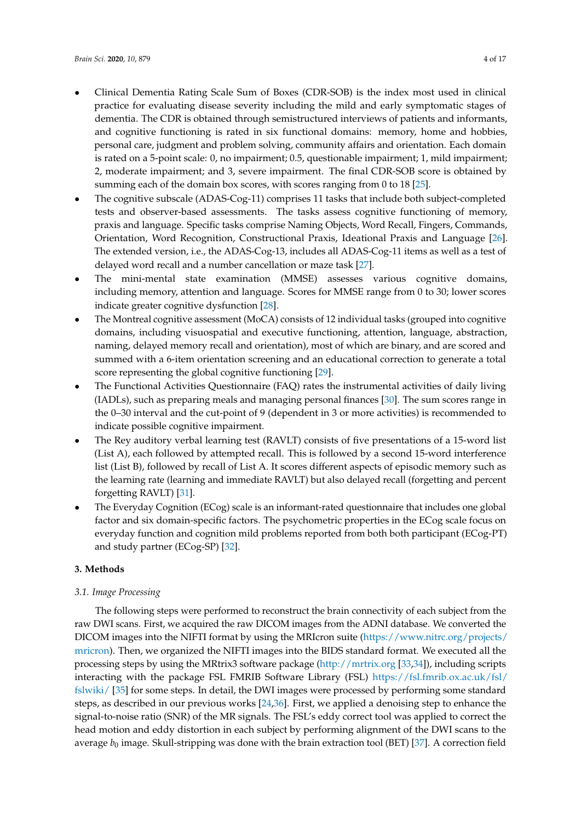- Clinical Dementia Rating Scale Sum of Boxes (CDR-SOB) is the index most used in clinical practice for evaluating disease severity including the mild and early symptomatic stages of dementia. The CDR is obtained through semistructured interviews of patients and informants, and cognitive functioning is rated in six functional domains: memory, home and hobbies, personal care, judgment and problem solving, community affairs and orientation. Each domain is rated on a 5-point scale: 0, no impairment; 0.5, questionable impairment; 1, mild impairment; 2, moderate impairment; and 3, severe impairment. The final CDR-SOB score is obtained by summing each of the domain box scores, with scores ranging from 0 to 18 [\[25\]](#page-14-8).
- The cognitive subscale (ADAS-Cog-11) comprises 11 tasks that include both subject-completed tests and observer-based assessments. The tasks assess cognitive functioning of memory, praxis and language. Specific tasks comprise Naming Objects, Word Recall, Fingers, Commands, Orientation, Word Recognition, Constructional Praxis, Ideational Praxis and Language [\[26\]](#page-14-9). The extended version, i.e., the ADAS-Cog-13, includes all ADAS-Cog-11 items as well as a test of delayed word recall and a number cancellation or maze task [\[27\]](#page-14-10).
- The mini-mental state examination (MMSE) assesses various cognitive domains, including memory, attention and language. Scores for MMSE range from 0 to 30; lower scores indicate greater cognitive dysfunction [\[28\]](#page-14-11).
- The Montreal cognitive assessment (MoCA) consists of 12 individual tasks (grouped into cognitive domains, including visuospatial and executive functioning, attention, language, abstraction, naming, delayed memory recall and orientation), most of which are binary, and are scored and summed with a 6-item orientation screening and an educational correction to generate a total score representing the global cognitive functioning [\[29\]](#page-14-12).
- The Functional Activities Questionnaire (FAQ) rates the instrumental activities of daily living (IADLs), such as preparing meals and managing personal finances [\[30\]](#page-14-13). The sum scores range in the 0–30 interval and the cut-point of 9 (dependent in 3 or more activities) is recommended to indicate possible cognitive impairment.
- The Rey auditory verbal learning test (RAVLT) consists of five presentations of a 15-word list (List A), each followed by attempted recall. This is followed by a second 15-word interference list (List B), followed by recall of List A. It scores different aspects of episodic memory such as the learning rate (learning and immediate RAVLT) but also delayed recall (forgetting and percent forgetting RAVLT) [\[31\]](#page-14-14).
- The Everyday Cognition (ECog) scale is an informant-rated questionnaire that includes one global factor and six domain-specific factors. The psychometric properties in the ECog scale focus on everyday function and cognition mild problems reported from both both participant (ECog-PT) and study partner (ECog-SP) [\[32\]](#page-14-15).

# **3. Methods**

# *3.1. Image Processing*

The following steps were performed to reconstruct the brain connectivity of each subject from the raw DWI scans. First, we acquired the raw DICOM images from the ADNI database. We converted the DICOM images into the NIFTI format by using the MRIcron suite [\(https://www.nitrc.org/projects/]( https://www.nitrc.org/projects/mricron) [mricron\)]( https://www.nitrc.org/projects/mricron). Then, we organized the NIFTI images into the BIDS standard format. We executed all the processing steps by using the MRtrix3 software package [\(http://mrtrix.org](http://mrtrix.org) [\[33](#page-14-16)[,34\]](#page-14-17)), including scripts interacting with the package FSL FMRIB Software Library (FSL) [https://fsl.fmrib.ox.ac.uk/fsl/](https://fsl.fmrib.ox.ac.uk/fsl/fslwiki/) [fslwiki/](https://fsl.fmrib.ox.ac.uk/fsl/fslwiki/) [\[35\]](#page-14-18) for some steps. In detail, the DWI images were processed by performing some standard steps, as described in our previous works [\[24,](#page-14-7)[36\]](#page-15-0). First, we applied a denoising step to enhance the signal-to-noise ratio (SNR) of the MR signals. The FSL's eddy correct tool was applied to correct the head motion and eddy distortion in each subject by performing alignment of the DWI scans to the average  $b_0$  image. Skull-stripping was done with the brain extraction tool (BET) [\[37\]](#page-15-1). A correction field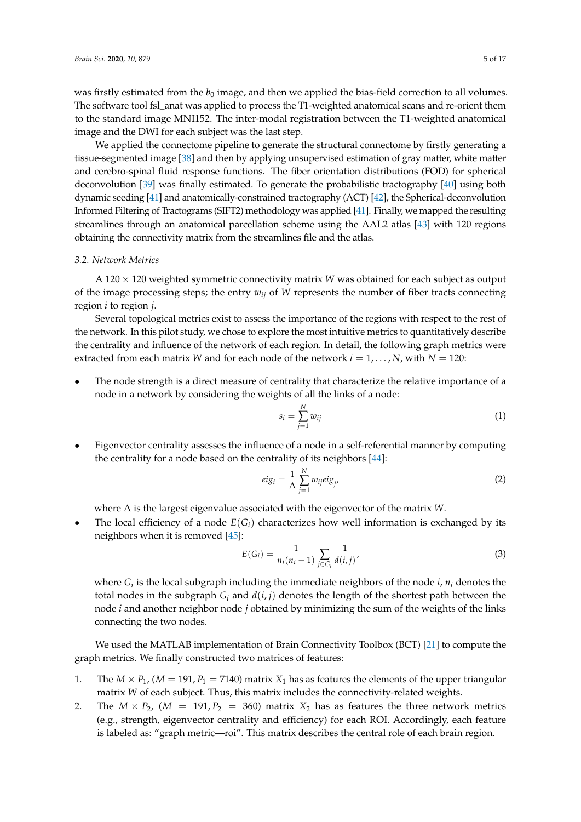was firstly estimated from the  $b_0$  image, and then we applied the bias-field correction to all volumes. The software tool fsl\_anat was applied to process the T1-weighted anatomical scans and re-orient them to the standard image MNI152. The inter-modal registration between the T1-weighted anatomical image and the DWI for each subject was the last step.

We applied the connectome pipeline to generate the structural connectome by firstly generating a tissue-segmented image [\[38\]](#page-15-2) and then by applying unsupervised estimation of gray matter, white matter and cerebro-spinal fluid response functions. The fiber orientation distributions (FOD) for spherical deconvolution [\[39\]](#page-15-3) was finally estimated. To generate the probabilistic tractography [\[40\]](#page-15-4) using both dynamic seeding [\[41\]](#page-15-5) and anatomically-constrained tractography (ACT) [\[42\]](#page-15-6), the Spherical-deconvolution Informed Filtering of Tractograms (SIFT2) methodology was applied [\[41\]](#page-15-5). Finally, we mapped the resulting streamlines through an anatomical parcellation scheme using the AAL2 atlas [\[43\]](#page-15-7) with 120 regions obtaining the connectivity matrix from the streamlines file and the atlas.

#### *3.2. Network Metrics*

A 120 × 120 weighted symmetric connectivity matrix *W* was obtained for each subject as output of the image processing steps; the entry  $w_{ij}$  of *W* represents the number of fiber tracts connecting region *i* to region *j*.

Several topological metrics exist to assess the importance of the regions with respect to the rest of the network. In this pilot study, we chose to explore the most intuitive metrics to quantitatively describe the centrality and influence of the network of each region. In detail, the following graph metrics were extracted from each matrix *W* and for each node of the network  $i = 1, \dots, N$ , with  $N = 120$ :

The node strength is a direct measure of centrality that characterize the relative importance of a node in a network by considering the weights of all the links of a node:

$$
s_i = \sum_{j=1}^{N} w_{ij} \tag{1}
$$

• Eigenvector centrality assesses the influence of a node in a self-referential manner by computing the centrality for a node based on the centrality of its neighbors [\[44\]](#page-15-8):

$$
eig_i = \frac{1}{\Lambda} \sum_{j=1}^{N} w_{ij} eig_j,
$$
\n(2)

where Λ is the largest eigenvalue associated with the eigenvector of the matrix *W*.

The local efficiency of a node  $E(G_i)$  characterizes how well information is exchanged by its neighbors when it is removed [\[45\]](#page-15-9):

$$
E(G_i) = \frac{1}{n_i(n_i - 1)} \sum_{j \in G_i} \frac{1}{d(i,j)},
$$
\n(3)

where  $G_i$  is the local subgraph including the immediate neighbors of the node *i*,  $n_i$  denotes the total nodes in the subgraph  $G_i$  and  $d(i, j)$  denotes the length of the shortest path between the node *i* and another neighbor node *j* obtained by minimizing the sum of the weights of the links connecting the two nodes.

We used the MATLAB implementation of Brain Connectivity Toolbox (BCT) [\[21\]](#page-14-5) to compute the graph metrics. We finally constructed two matrices of features:

- 1. The  $M \times P_1$ ,  $(M = 191, P_1 = 7140)$  matrix  $X_1$  has as features the elements of the upper triangular matrix *W* of each subject. Thus, this matrix includes the connectivity-related weights.
- 2. The  $M \times P_2$ ,  $(M = 191, P_2 = 360)$  matrix  $X_2$  has as features the three network metrics (e.g., strength, eigenvector centrality and efficiency) for each ROI. Accordingly, each feature is labeled as: "graph metric—roi". This matrix describes the central role of each brain region.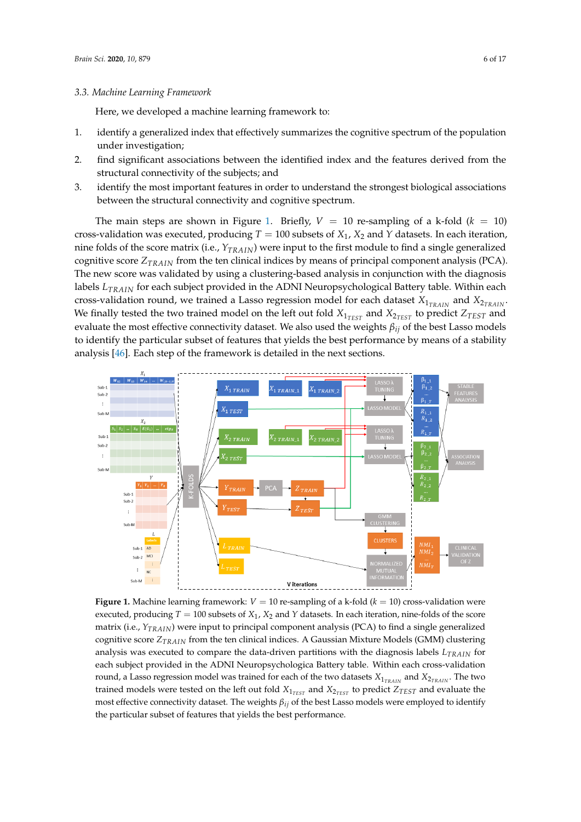#### *3.3. Machine Learning Framework*

Here, we developed a machine learning framework to:

- 1. identify a generalized index that effectively summarizes the cognitive spectrum of the population under investigation;
- 2. find significant associations between the identified index and the features derived from the structural connectivity of the subjects; and
- 3. identify the most important features in order to understand the strongest biological associations between the structural connectivity and cognitive spectrum.

The main steps are shown in Figure [1.](#page-5-0) Briefly,  $V = 10$  re-sampling of a k-fold ( $k = 10$ ) cross-validation was executed, producing  $T = 100$  subsets of  $X_1$ ,  $X_2$  and  $Y$  datasets. In each iteration, nine folds of the score matrix (i.e., *YTRAIN*) were input to the first module to find a single generalized cognitive score *ZTRAIN* from the ten clinical indices by means of principal component analysis (PCA). The new score was validated by using a clustering-based analysis in conjunction with the diagnosis labels *LTRAIN* for each subject provided in the ADNI Neuropsychological Battery table. Within each cross-validation round, we trained a Lasso regression model for each dataset  $X_{1_{TRAIN}}$  and  $X_{2_{TRAIN}}$ . We finally tested the two trained model on the left out fold  $X_{1_{TEST}}$  and  $X_{2_{TEST}}$  to predict  $Z_{TEST}$  and evaluate the most effective connectivity dataset. We also used the weights *βij* of the best Lasso models to identify the particular subset of features that yields the best performance by means of a stability analysis [\[46\]](#page-15-10). Each step of the framework is detailed in the next sections.

<span id="page-5-0"></span>

**Figure 1.** Machine learning framework:  $V = 10$  re-sampling of a k-fold ( $k = 10$ ) cross-validation were executed, producing  $T = 100$  subsets of  $X_1$ ,  $X_2$  and  $Y$  datasets. In each iteration, nine-folds of the score matrix (i.e., *YTRAIN*) were input to principal component analysis (PCA) to find a single generalized cognitive score *ZTRAIN* from the ten clinical indices. A Gaussian Mixture Models (GMM) clustering analysis was executed to compare the data-driven partitions with the diagnosis labels *LTRAIN* for each subject provided in the ADNI Neuropsychologica Battery table. Within each cross-validation round, a Lasso regression model was trained for each of the two datasets  $X_{1_{TRAIN}}$  and  $X_{2_{TRAIN}}$ . The two trained models were tested on the left out fold  $X_{1_{TEST}}$  and  $X_{2_{TEST}}$  to predict  $Z_{TEST}$  and evaluate the most effective connectivity dataset. The weights *βij* of the best Lasso models were employed to identify the particular subset of features that yields the best performance.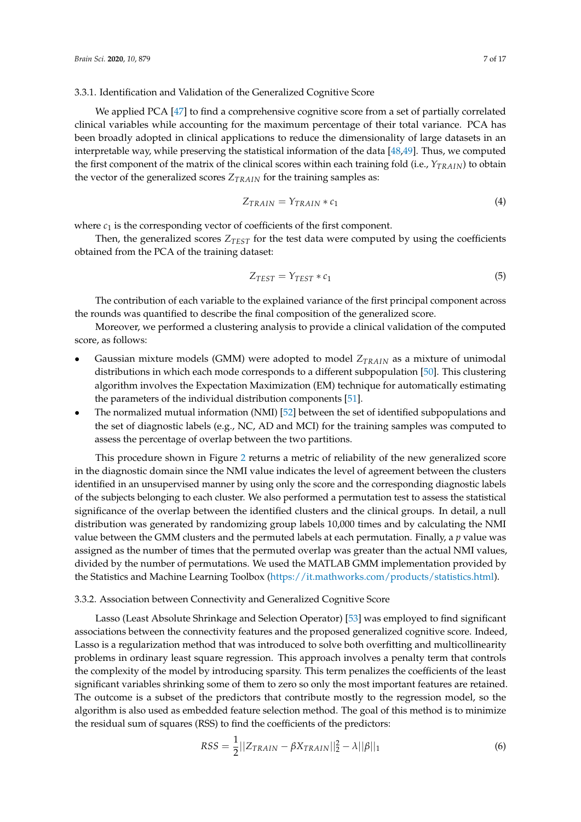#### <span id="page-6-0"></span>3.3.1. Identification and Validation of the Generalized Cognitive Score

We applied PCA [\[47\]](#page-15-11) to find a comprehensive cognitive score from a set of partially correlated clinical variables while accounting for the maximum percentage of their total variance. PCA has been broadly adopted in clinical applications to reduce the dimensionality of large datasets in an interpretable way, while preserving the statistical information of the data [\[48,](#page-15-12)[49\]](#page-15-13). Thus, we computed the first component of the matrix of the clinical scores within each training fold (i.e., *YTRAIN*) to obtain the vector of the generalized scores  $Z_{TRAIN}$  for the training samples as:

$$
Z_{TRAIN} = Y_{TRAIN} * c_1 \tag{4}
$$

where  $c_1$  is the corresponding vector of coefficients of the first component.

Then, the generalized scores *ZTEST* for the test data were computed by using the coefficients obtained from the PCA of the training dataset:

$$
Z_{TEST} = Y_{TEST} * c_1 \tag{5}
$$

The contribution of each variable to the explained variance of the first principal component across the rounds was quantified to describe the final composition of the generalized score.

Moreover, we performed a clustering analysis to provide a clinical validation of the computed score, as follows:

- Gaussian mixture models (GMM) were adopted to model *ZTRAIN* as a mixture of unimodal distributions in which each mode corresponds to a different subpopulation [\[50\]](#page-15-14). This clustering algorithm involves the Expectation Maximization (EM) technique for automatically estimating the parameters of the individual distribution components [\[51\]](#page-15-15).
- The normalized mutual information (NMI) [\[52\]](#page-15-16) between the set of identified subpopulations and the set of diagnostic labels (e.g., NC, AD and MCI) for the training samples was computed to assess the percentage of overlap between the two partitions.

This procedure shown in Figure [2](#page-7-0) returns a metric of reliability of the new generalized score in the diagnostic domain since the NMI value indicates the level of agreement between the clusters identified in an unsupervised manner by using only the score and the corresponding diagnostic labels of the subjects belonging to each cluster. We also performed a permutation test to assess the statistical significance of the overlap between the identified clusters and the clinical groups. In detail, a null distribution was generated by randomizing group labels 10,000 times and by calculating the NMI value between the GMM clusters and the permuted labels at each permutation. Finally, a *p* value was assigned as the number of times that the permuted overlap was greater than the actual NMI values, divided by the number of permutations. We used the MATLAB GMM implementation provided by the Statistics and Machine Learning Toolbox [\(https://it.mathworks.com/products/statistics.html\)](https://it.mathworks.com/products/statistics.html).

#### 3.3.2. Association between Connectivity and Generalized Cognitive Score

Lasso (Least Absolute Shrinkage and Selection Operator) [\[53\]](#page-15-17) was employed to find significant associations between the connectivity features and the proposed generalized cognitive score. Indeed, Lasso is a regularization method that was introduced to solve both overfitting and multicollinearity problems in ordinary least square regression. This approach involves a penalty term that controls the complexity of the model by introducing sparsity. This term penalizes the coefficients of the least significant variables shrinking some of them to zero so only the most important features are retained. The outcome is a subset of the predictors that contribute mostly to the regression model, so the algorithm is also used as embedded feature selection method. The goal of this method is to minimize the residual sum of squares (RSS) to find the coefficients of the predictors:

$$
RSS = \frac{1}{2} ||Z_{TRAIN} - \beta X_{TRAIN}||_2^2 - \lambda ||\beta||_1
$$
 (6)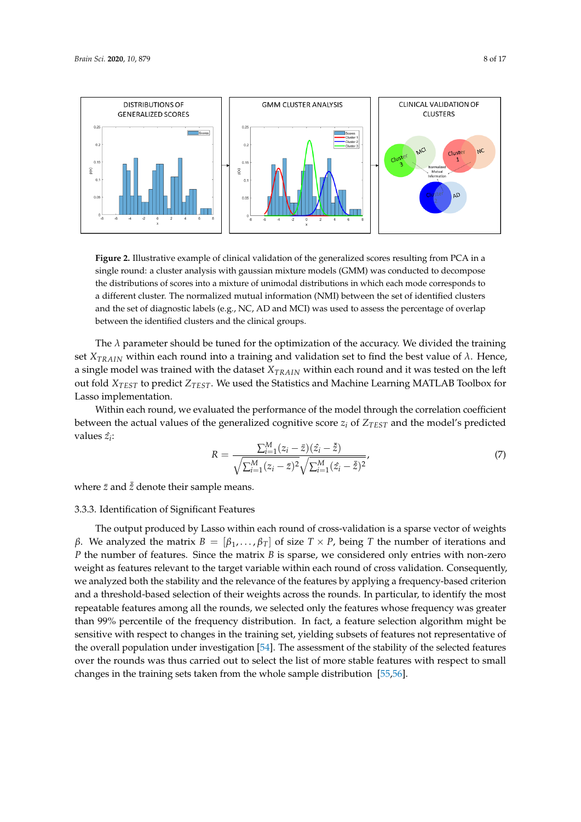

<span id="page-7-0"></span>

**Figure 2.** Illustrative example of clinical validation of the generalized scores resulting from PCA in a single round: a cluster analysis with gaussian mixture models (GMM) was conducted to decompose the distributions of scores into a mixture of unimodal distributions in which each mode corresponds to a different cluster. The normalized mutual information (NMI) between the set of identified clusters and the set of diagnostic labels (e.g., NC, AD and MCI) was used to assess the percentage of overlap between the identified clusters and the clinical groups.

The  $\lambda$  parameter should be tuned for the optimization of the accuracy. We divided the training set *XTRAIN* within each round into a training and validation set to find the best value of *λ*. Hence, a single model was trained with the dataset *XTRAIN* within each round and it was tested on the left out fold *XTEST* to predict *ZTEST*. We used the Statistics and Machine Learning MATLAB Toolbox for Lasso implementation.

Within each round, we evaluated the performance of the model through the correlation coefficient between the actual values of the generalized cognitive score  $z_i$  of  $Z_{TEST}$  and the model's predicted values  $\hat{z_i}$ :

$$
R = \frac{\sum_{i=1}^{M} (z_i - \bar{z})(\hat{z}_i - \bar{\hat{z}})}{\sqrt{\sum_{i=1}^{M} (z_i - \bar{z})^2} \sqrt{\sum_{i=1}^{M} (\hat{z}_i - \bar{\hat{z}})^2}},
$$
(7)

where  $\bar{z}$  and  $\bar{\bar{z}}$  denote their sample means.

# 3.3.3. Identification of Significant Features

The output produced by Lasso within each round of cross-validation is a sparse vector of weights *β*. We analyzed the matrix  $B = [\beta_1, \dots, \beta_T]$  of size  $T \times P$ , being *T* the number of iterations and *P* the number of features. Since the matrix *B* is sparse, we considered only entries with non-zero weight as features relevant to the target variable within each round of cross validation. Consequently, we analyzed both the stability and the relevance of the features by applying a frequency-based criterion and a threshold-based selection of their weights across the rounds. In particular, to identify the most repeatable features among all the rounds, we selected only the features whose frequency was greater than 99% percentile of the frequency distribution. In fact, a feature selection algorithm might be sensitive with respect to changes in the training set, yielding subsets of features not representative of the overall population under investigation [\[54\]](#page-15-18). The assessment of the stability of the selected features over the rounds was thus carried out to select the list of more stable features with respect to small changes in the training sets taken from the whole sample distribution [\[55](#page-15-19)[,56\]](#page-15-20).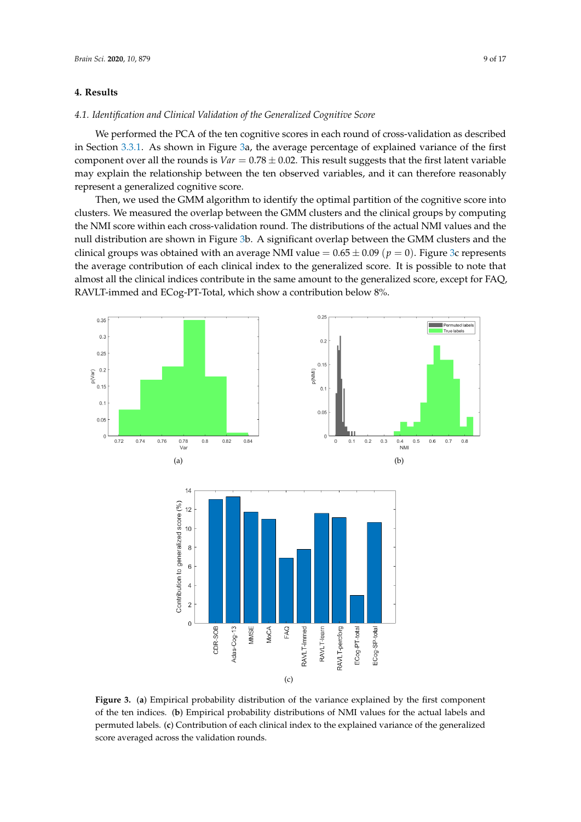## **4. Results**

#### *4.1. Identification and Clinical Validation of the Generalized Cognitive Score*

We performed the PCA of the ten cognitive scores in each round of cross-validation as described in Section [3.3.1.](#page-6-0) As shown in Figure [3a](#page-8-0), the average percentage of explained variance of the first component over all the rounds is  $Var = 0.78 \pm 0.02$ . This result suggests that the first latent variable may explain the relationship between the ten observed variables, and it can therefore reasonably represent a generalized cognitive score.

Then, we used the GMM algorithm to identify the optimal partition of the cognitive score into clusters. We measured the overlap between the GMM clusters and the clinical groups by computing the NMI score within each cross-validation round. The distributions of the actual NMI values and the null distribution are shown in Figure [3b](#page-8-0). A significant overlap between the GMM clusters and the clinical groups was obtained with an average NMI value  $= 0.65 \pm 0.09$  ( $p = 0$ ). Figure [3c](#page-8-0) represents the average contribution of each clinical index to the generalized score. It is possible to note that almost all the clinical indices contribute in the same amount to the generalized score, except for FAQ, RAVLT-immed and ECog-PT-Total, which show a contribution below 8%.

<span id="page-8-0"></span>

**Figure 3.** (**a**) Empirical probability distribution of the variance explained by the first component of the ten indices. (**b**) Empirical probability distributions of NMI values for the actual labels and permuted labels. (**c**) Contribution of each clinical index to the explained variance of the generalized score averaged across the validation rounds.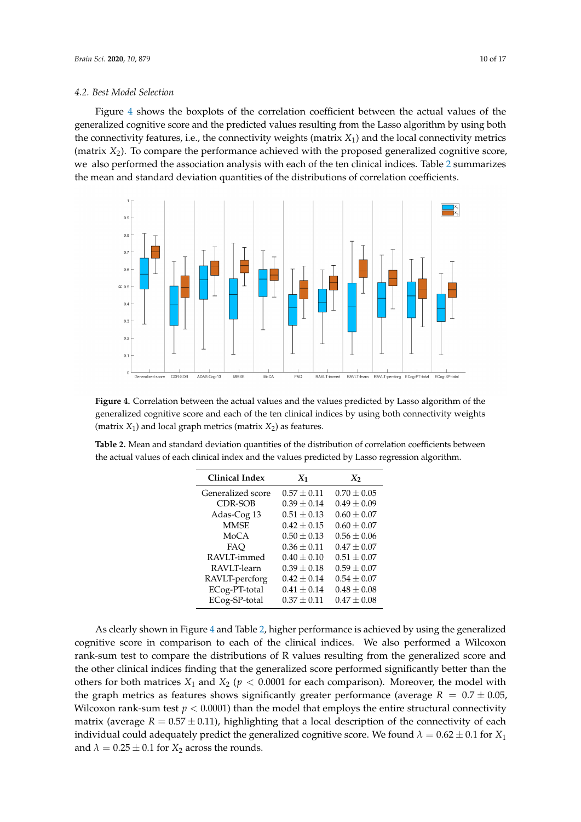#### *4.2. Best Model Selection*

Figure [4](#page-9-0) shows the boxplots of the correlation coefficient between the actual values of the generalized cognitive score and the predicted values resulting from the Lasso algorithm by using both the connectivity features, i.e., the connectivity weights (matrix *X*1) and the local connectivity metrics (matrix *X*2). To compare the performance achieved with the proposed generalized cognitive score, we also performed the association analysis with each of the ten clinical indices. Table [2](#page-9-1) summarizes the mean and standard deviation quantities of the distributions of correlation coefficients.

<span id="page-9-0"></span>

**Figure 4.** Correlation between the actual values and the values predicted by Lasso algorithm of the generalized cognitive score and each of the ten clinical indices by using both connectivity weights  $(matrix  $X_1$ ) and local graph metrics (matrix  $X_2$ ) as features.$ 

<span id="page-9-1"></span>**Table 2.** Mean and standard deviation quantities of the distribution of correlation coefficients between the actual values of each clinical index and the values predicted by Lasso regression algorithm.

| Clinical Index    | $X_1$           | $X_2$           |  |
|-------------------|-----------------|-----------------|--|
| Generalized score | $0.57 + 0.11$   | $0.70 + 0.05$   |  |
| CDR-SOB           | $0.39 + 0.14$   | $0.49 + 0.09$   |  |
| Adas-Cog 13       | $0.51 + 0.13$   | $0.60 + 0.07$   |  |
| <b>MMSE</b>       | $0.42 + 0.15$   | $0.60 + 0.07$   |  |
| MoCA              | $0.50 \pm 0.13$ | $0.56 + 0.06$   |  |
| FAO               | $0.36 \pm 0.11$ | $0.47 + 0.07$   |  |
| RAVLT-immed       | $0.40 + 0.10$   | $0.51 \pm 0.07$ |  |
| RAVLT-learn       | $0.39 + 0.18$   | $0.59 \pm 0.07$ |  |
| RAVLT-percforg    | $0.42 + 0.14$   | $0.54 + 0.07$   |  |
| ECog-PT-total     | $0.41 + 0.14$   | $0.48 + 0.08$   |  |
| ECog-SP-total     | $0.37 + 0.11$   | $0.47 + 0.08$   |  |

As clearly shown in Figure [4](#page-9-0) and Table [2,](#page-9-1) higher performance is achieved by using the generalized cognitive score in comparison to each of the clinical indices. We also performed a Wilcoxon rank-sum test to compare the distributions of R values resulting from the generalized score and the other clinical indices finding that the generalized score performed significantly better than the others for both matrices  $X_1$  and  $X_2$  ( $p < 0.0001$  for each comparison). Moreover, the model with the graph metrics as features shows significantly greater performance (average  $R = 0.7 \pm 0.05$ , Wilcoxon rank-sum test  $p < 0.0001$ ) than the model that employs the entire structural connectivity matrix (average  $R = 0.57 \pm 0.11$ ), highlighting that a local description of the connectivity of each individual could adequately predict the generalized cognitive score. We found  $\lambda = 0.62 \pm 0.1$  for  $X_1$ and  $\lambda = 0.25 \pm 0.1$  for  $X_2$  across the rounds.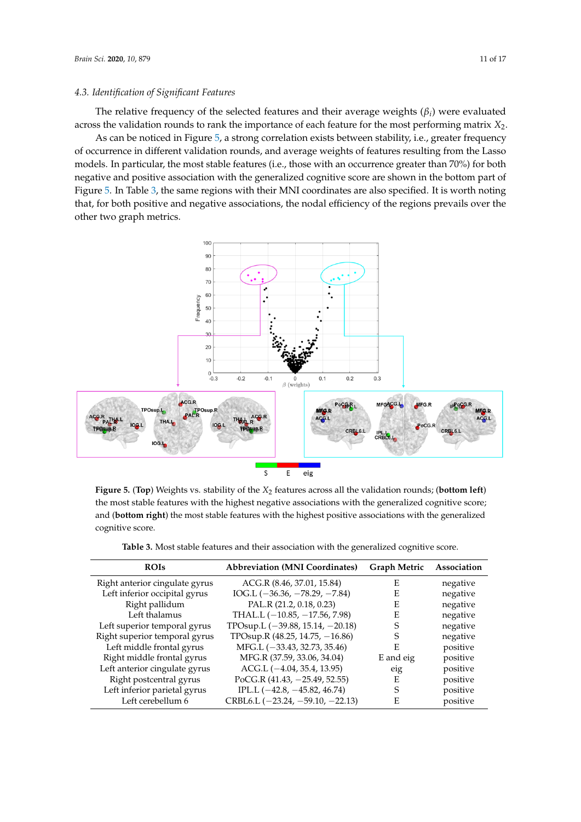#### *4.3. Identification of Significant Features*

The relative frequency of the selected features and their average weights (*β<sup>i</sup>* ) were evaluated across the validation rounds to rank the importance of each feature for the most performing matrix *X*2.

As can be noticed in Figure [5,](#page-10-0) a strong correlation exists between stability, i.e., greater frequency of occurrence in different validation rounds, and average weights of features resulting from the Lasso models. In particular, the most stable features (i.e., those with an occurrence greater than 70%) for both negative and positive association with the generalized cognitive score are shown in the bottom part of Figure [5.](#page-10-0) In Table [3,](#page-10-1) the same regions with their MNI coordinates are also specified. It is worth noting that, for both positive and negative associations, the nodal efficiency of the regions prevails over the other two graph metrics.

<span id="page-10-0"></span>

**Figure 5.** (Top) Weights vs. stability of the  $X_2$  features across all the validation rounds; (bottom left) the most stable features with the highest negative associations with the generalized cognitive score; and (**bottom right**) the most stable features with the highest positive associations with the generalized cognitive score.

**Table 3.** Most stable features and their association with the generalized cognitive score.

<span id="page-10-1"></span>

| <b>ROIs</b>                    | <b>Abbreviation (MNI Coordinates)</b> | <b>Graph Metric</b> | Association |
|--------------------------------|---------------------------------------|---------------------|-------------|
| Right anterior cingulate gyrus | ACG.R (8.46, 37.01, 15.84)            | E                   | negative    |
| Left inferior occipital gyrus  | IOG.L $(-36.36, -78.29, -7.84)$       | E                   | negative    |
| Right pallidum                 | PAL.R (21.2, 0.18, 0.23)              | E                   | negative    |
| Left thalamus                  | THAL.L $(-10.85, -17.56, 7.98)$       | E                   | negative    |
| Left superior temporal gyrus   | TPOsup.L $(-39.88, 15.14, -20.18)$    | S                   | negative    |
| Right superior temporal gyrus  | TPOsup.R $(48.25, 14.75, -16.86)$     | S                   | negative    |
| Left middle frontal gyrus      | $MFG.L (-33.43, 32.73, 35.46)$        | E                   | positive    |
| Right middle frontal gyrus     | MFG.R (37.59, 33.06, 34.04)           | E and eig           | positive    |
| Left anterior cingulate gyrus  | $ACG.L$ ( $-4.04$ , 35.4, 13.95)      | eig                 | positive    |
| Right postcentral gyrus        | PoCG.R $(41.43, -25.49, 52.55)$       | E                   | positive    |
| Left inferior parietal gyrus   | IPL.L $(-42.8, -45.82, 46.74)$        | S                   | positive    |
| Left cerebellum 6              | CRBL6.L $(-23.24, -59.10, -22.13)$    | E                   | positive    |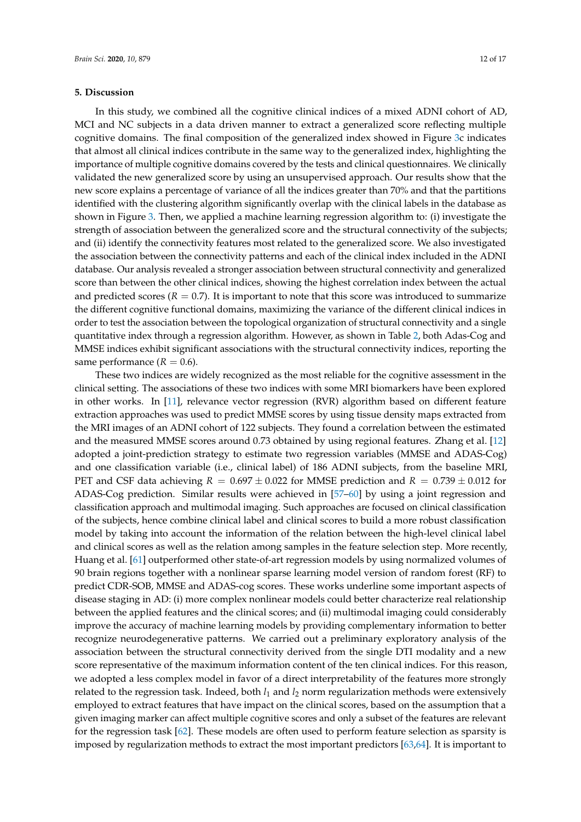#### **5. Discussion**

In this study, we combined all the cognitive clinical indices of a mixed ADNI cohort of AD, MCI and NC subjects in a data driven manner to extract a generalized score reflecting multiple cognitive domains. The final composition of the generalized index showed in Figure [3c](#page-8-0) indicates that almost all clinical indices contribute in the same way to the generalized index, highlighting the importance of multiple cognitive domains covered by the tests and clinical questionnaires. We clinically validated the new generalized score by using an unsupervised approach. Our results show that the new score explains a percentage of variance of all the indices greater than 70% and that the partitions identified with the clustering algorithm significantly overlap with the clinical labels in the database as shown in Figure [3.](#page-8-0) Then, we applied a machine learning regression algorithm to: (i) investigate the strength of association between the generalized score and the structural connectivity of the subjects; and (ii) identify the connectivity features most related to the generalized score. We also investigated the association between the connectivity patterns and each of the clinical index included in the ADNI database. Our analysis revealed a stronger association between structural connectivity and generalized score than between the other clinical indices, showing the highest correlation index between the actual and predicted scores ( $R = 0.7$ ). It is important to note that this score was introduced to summarize the different cognitive functional domains, maximizing the variance of the different clinical indices in order to test the association between the topological organization of structural connectivity and a single quantitative index through a regression algorithm. However, as shown in Table [2,](#page-9-1) both Adas-Cog and MMSE indices exhibit significant associations with the structural connectivity indices, reporting the same performance  $(R = 0.6)$ .

These two indices are widely recognized as the most reliable for the cognitive assessment in the clinical setting. The associations of these two indices with some MRI biomarkers have been explored in other works. In [\[11\]](#page-13-13), relevance vector regression (RVR) algorithm based on different feature extraction approaches was used to predict MMSE scores by using tissue density maps extracted from the MRI images of an ADNI cohort of 122 subjects. They found a correlation between the estimated and the measured MMSE scores around 0.73 obtained by using regional features. Zhang et al. [\[12\]](#page-13-10) adopted a joint-prediction strategy to estimate two regression variables (MMSE and ADAS-Cog) and one classification variable (i.e., clinical label) of 186 ADNI subjects, from the baseline MRI, PET and CSF data achieving  $R = 0.697 \pm 0.022$  for MMSE prediction and  $R = 0.739 \pm 0.012$  for ADAS-Cog prediction. Similar results were achieved in [\[57–](#page-15-21)[60\]](#page-16-0) by using a joint regression and classification approach and multimodal imaging. Such approaches are focused on clinical classification of the subjects, hence combine clinical label and clinical scores to build a more robust classification model by taking into account the information of the relation between the high-level clinical label and clinical scores as well as the relation among samples in the feature selection step. More recently, Huang et al. [\[61\]](#page-16-1) outperformed other state-of-art regression models by using normalized volumes of 90 brain regions together with a nonlinear sparse learning model version of random forest (RF) to predict CDR-SOB, MMSE and ADAS-cog scores. These works underline some important aspects of disease staging in AD: (i) more complex nonlinear models could better characterize real relationship between the applied features and the clinical scores; and (ii) multimodal imaging could considerably improve the accuracy of machine learning models by providing complementary information to better recognize neurodegenerative patterns. We carried out a preliminary exploratory analysis of the association between the structural connectivity derived from the single DTI modality and a new score representative of the maximum information content of the ten clinical indices. For this reason, we adopted a less complex model in favor of a direct interpretability of the features more strongly related to the regression task. Indeed, both  $l_1$  and  $l_2$  norm regularization methods were extensively employed to extract features that have impact on the clinical scores, based on the assumption that a given imaging marker can affect multiple cognitive scores and only a subset of the features are relevant for the regression task [\[62\]](#page-16-2). These models are often used to perform feature selection as sparsity is imposed by regularization methods to extract the most important predictors [\[63](#page-16-3)[,64\]](#page-16-4). It is important to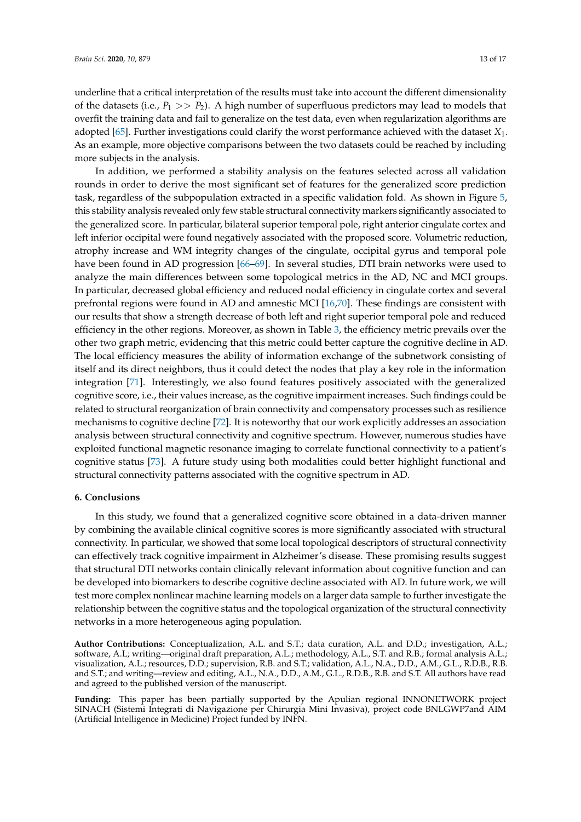underline that a critical interpretation of the results must take into account the different dimensionality of the datasets (i.e.,  $P_1 >> P_2$ ). A high number of superfluous predictors may lead to models that overfit the training data and fail to generalize on the test data, even when regularization algorithms are adopted [\[65\]](#page-16-5). Further investigations could clarify the worst performance achieved with the dataset *X*1. As an example, more objective comparisons between the two datasets could be reached by including more subjects in the analysis.

In addition, we performed a stability analysis on the features selected across all validation rounds in order to derive the most significant set of features for the generalized score prediction task, regardless of the subpopulation extracted in a specific validation fold. As shown in Figure [5,](#page-10-0) this stability analysis revealed only few stable structural connectivity markers significantly associated to the generalized score. In particular, bilateral superior temporal pole, right anterior cingulate cortex and left inferior occipital were found negatively associated with the proposed score. Volumetric reduction, atrophy increase and WM integrity changes of the cingulate, occipital gyrus and temporal pole have been found in AD progression [\[66](#page-16-6)[–69\]](#page-16-7). In several studies, DTI brain networks were used to analyze the main differences between some topological metrics in the AD, NC and MCI groups. In particular, decreased global efficiency and reduced nodal efficiency in cingulate cortex and several prefrontal regions were found in AD and amnestic MCI [\[16,](#page-14-1)[70\]](#page-16-8). These findings are consistent with our results that show a strength decrease of both left and right superior temporal pole and reduced efficiency in the other regions. Moreover, as shown in Table [3,](#page-10-1) the efficiency metric prevails over the other two graph metric, evidencing that this metric could better capture the cognitive decline in AD. The local efficiency measures the ability of information exchange of the subnetwork consisting of itself and its direct neighbors, thus it could detect the nodes that play a key role in the information integration [\[71\]](#page-16-9). Interestingly, we also found features positively associated with the generalized cognitive score, i.e., their values increase, as the cognitive impairment increases. Such findings could be related to structural reorganization of brain connectivity and compensatory processes such as resilience mechanisms to cognitive decline [\[72\]](#page-16-10). It is noteworthy that our work explicitly addresses an association analysis between structural connectivity and cognitive spectrum. However, numerous studies have exploited functional magnetic resonance imaging to correlate functional connectivity to a patient's cognitive status [\[73\]](#page-16-11). A future study using both modalities could better highlight functional and structural connectivity patterns associated with the cognitive spectrum in AD.

#### **6. Conclusions**

In this study, we found that a generalized cognitive score obtained in a data-driven manner by combining the available clinical cognitive scores is more significantly associated with structural connectivity. In particular, we showed that some local topological descriptors of structural connectivity can effectively track cognitive impairment in Alzheimer's disease. These promising results suggest that structural DTI networks contain clinically relevant information about cognitive function and can be developed into biomarkers to describe cognitive decline associated with AD. In future work, we will test more complex nonlinear machine learning models on a larger data sample to further investigate the relationship between the cognitive status and the topological organization of the structural connectivity networks in a more heterogeneous aging population.

**Author Contributions:** Conceptualization, A.L. and S.T.; data curation, A.L. and D.D.; investigation, A.L.; software, A.L; writing—original draft preparation, A.L.; methodology, A.L., S.T. and R.B.; formal analysis A.L.; visualization, A.L.; resources, D.D.; supervision, R.B. and S.T.; validation, A.L., N.A., D.D., A.M., G.L., R.D.B., R.B. and S.T.; and writing—review and editing, A.L., N.A., D.D., A.M., G.L., R.D.B., R.B. and S.T. All authors have read and agreed to the published version of the manuscript.

**Funding:** This paper has been partially supported by the Apulian regional INNONETWORK project SINACH (Sistemi Integrati di Navigazione per Chirurgia Mini Invasiva), project code BNLGWP7and AIM (Artificial Intelligence in Medicine) Project funded by INFN.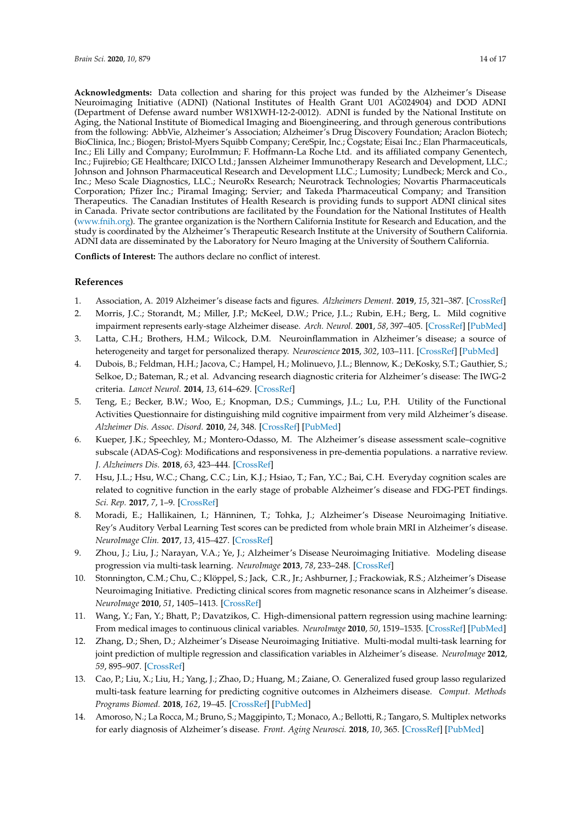**Acknowledgments:** Data collection and sharing for this project was funded by the Alzheimer's Disease Neuroimaging Initiative (ADNI) (National Institutes of Health Grant U01 AG024904) and DOD ADNI (Department of Defense award number W81XWH-12-2-0012). ADNI is funded by the National Institute on Aging, the National Institute of Biomedical Imaging and Bioengineering, and through generous contributions from the following: AbbVie, Alzheimer's Association; Alzheimer's Drug Discovery Foundation; Araclon Biotech; BioClinica, Inc.; Biogen; Bristol-Myers Squibb Company; CereSpir, Inc.; Cogstate; Eisai Inc.; Elan Pharmaceuticals, Inc.; Eli Lilly and Company; EuroImmun; F. Hoffmann-La Roche Ltd. and its affiliated company Genentech, Inc.; Fujirebio; GE Healthcare; IXICO Ltd.; Janssen Alzheimer Immunotherapy Research and Development, LLC.; Johnson and Johnson Pharmaceutical Research and Development LLC.; Lumosity; Lundbeck; Merck and Co., Inc.; Meso Scale Diagnostics, LLC.; NeuroRx Research; Neurotrack Technologies; Novartis Pharmaceuticals Corporation; Pfizer Inc.; Piramal Imaging; Servier; and Takeda Pharmaceutical Company; and Transition Therapeutics. The Canadian Institutes of Health Research is providing funds to support ADNI clinical sites in Canada. Private sector contributions are facilitated by the Foundation for the National Institutes of Health [\(www.fnih.org\)](www.fnih.org). The grantee organization is the Northern California Institute for Research and Education, and the study is coordinated by the Alzheimer's Therapeutic Research Institute at the University of Southern California. ADNI data are disseminated by the Laboratory for Neuro Imaging at the University of Southern California.

**Conflicts of Interest:** The authors declare no conflict of interest.

#### **References**

- <span id="page-13-0"></span>1. Association, A. 2019 Alzheimer's disease facts and figures. *Alzheimers Dement.* **2019**, *15*, 321–387. [\[CrossRef\]](http://dx.doi.org/10.1016/j.jalz.2019.01.010)
- <span id="page-13-1"></span>2. Morris, J.C.; Storandt, M.; Miller, J.P.; McKeel, D.W.; Price, J.L.; Rubin, E.H.; Berg, L. Mild cognitive impairment represents early-stage Alzheimer disease. *Arch. Neurol.* **2001**, *58*, 397–405. [\[CrossRef\]](http://dx.doi.org/10.1001/archneur.58.3.397) [\[PubMed\]](http://www.ncbi.nlm.nih.gov/pubmed/11255443)
- <span id="page-13-2"></span>3. Latta, C.H.; Brothers, H.M.; Wilcock, D.M. Neuroinflammation in Alzheimer's disease; a source of heterogeneity and target for personalized therapy. *Neuroscience* **2015**, *302*, 103–111. [\[CrossRef\]](http://dx.doi.org/10.1016/j.neuroscience.2014.09.061) [\[PubMed\]](http://www.ncbi.nlm.nih.gov/pubmed/25286385)
- <span id="page-13-3"></span>4. Dubois, B.; Feldman, H.H.; Jacova, C.; Hampel, H.; Molinuevo, J.L.; Blennow, K.; DeKosky, S.T.; Gauthier, S.; Selkoe, D.; Bateman, R.; et al. Advancing research diagnostic criteria for Alzheimer's disease: The IWG-2 criteria. *Lancet Neurol.* **2014**, *13*, 614–629. [\[CrossRef\]](http://dx.doi.org/10.1016/S1474-4422(14)70090-0)
- <span id="page-13-4"></span>5. Teng, E.; Becker, B.W.; Woo, E.; Knopman, D.S.; Cummings, J.L.; Lu, P.H. Utility of the Functional Activities Questionnaire for distinguishing mild cognitive impairment from very mild Alzheimer's disease. *Alzheimer Dis. Assoc. Disord.* **2010**, *24*, 348. [\[CrossRef\]](http://dx.doi.org/10.1097/WAD.0b013e3181e2fc84) [\[PubMed\]](http://www.ncbi.nlm.nih.gov/pubmed/20592580)
- <span id="page-13-5"></span>6. Kueper, J.K.; Speechley, M.; Montero-Odasso, M. The Alzheimer's disease assessment scale–cognitive subscale (ADAS-Cog): Modifications and responsiveness in pre-dementia populations. a narrative review. *J. Alzheimers Dis.* **2018**, *63*, 423–444. [\[CrossRef\]](http://dx.doi.org/10.3233/JAD-170991)
- <span id="page-13-6"></span>7. Hsu, J.L.; Hsu, W.C.; Chang, C.C.; Lin, K.J.; Hsiao, T.; Fan, Y.C.; Bai, C.H. Everyday cognition scales are related to cognitive function in the early stage of probable Alzheimer's disease and FDG-PET findings. *Sci. Rep.* **2017**, *7*, 1–9. [\[CrossRef\]](http://dx.doi.org/10.1038/s41598-017-01193-6)
- <span id="page-13-7"></span>8. Moradi, E.; Hallikainen, I.; Hänninen, T.; Tohka, J.; Alzheimer's Disease Neuroimaging Initiative. Rey's Auditory Verbal Learning Test scores can be predicted from whole brain MRI in Alzheimer's disease. *NeuroImage Clin.* **2017**, *13*, 415–427. [\[CrossRef\]](http://dx.doi.org/10.1016/j.nicl.2016.12.011)
- <span id="page-13-8"></span>9. Zhou, J.; Liu, J.; Narayan, V.A.; Ye, J.; Alzheimer's Disease Neuroimaging Initiative. Modeling disease progression via multi-task learning. *NeuroImage* **2013**, *78*, 233–248. [\[CrossRef\]](http://dx.doi.org/10.1016/j.neuroimage.2013.03.073)
- <span id="page-13-9"></span>10. Stonnington, C.M.; Chu, C.; Klöppel, S.; Jack, C.R., Jr.; Ashburner, J.; Frackowiak, R.S.; Alzheimer's Disease Neuroimaging Initiative. Predicting clinical scores from magnetic resonance scans in Alzheimer's disease. *NeuroImage* **2010**, *51*, 1405–1413. [\[CrossRef\]](http://dx.doi.org/10.1016/j.neuroimage.2010.03.051)
- <span id="page-13-13"></span>11. Wang, Y.; Fan, Y.; Bhatt, P.; Davatzikos, C. High-dimensional pattern regression using machine learning: From medical images to continuous clinical variables. *NeuroImage* **2010**, *50*, 1519–1535. [\[CrossRef\]](http://dx.doi.org/10.1016/j.neuroimage.2009.12.092) [\[PubMed\]](http://www.ncbi.nlm.nih.gov/pubmed/20056158)
- <span id="page-13-10"></span>12. Zhang, D.; Shen, D.; Alzheimer's Disease Neuroimaging Initiative. Multi-modal multi-task learning for joint prediction of multiple regression and classification variables in Alzheimer's disease. *NeuroImage* **2012**, *59*, 895–907. [\[CrossRef\]](http://dx.doi.org/10.1016/j.neuroimage.2011.09.069)
- <span id="page-13-11"></span>13. Cao, P.; Liu, X.; Liu, H.; Yang, J.; Zhao, D.; Huang, M.; Zaiane, O. Generalized fused group lasso regularized multi-task feature learning for predicting cognitive outcomes in Alzheimers disease. *Comput. Methods Programs Biomed.* **2018**, *162*, 19–45. [\[CrossRef\]](http://dx.doi.org/10.1016/j.cmpb.2018.04.028) [\[PubMed\]](http://www.ncbi.nlm.nih.gov/pubmed/29903486)
- <span id="page-13-12"></span>14. Amoroso, N.; La Rocca, M.; Bruno, S.; Maggipinto, T.; Monaco, A.; Bellotti, R.; Tangaro, S. Multiplex networks for early diagnosis of Alzheimer's disease. *Front. Aging Neurosci.* **2018**, *10*, 365. [\[CrossRef\]](http://dx.doi.org/10.3389/fnagi.2018.00365) [\[PubMed\]](http://www.ncbi.nlm.nih.gov/pubmed/30487745)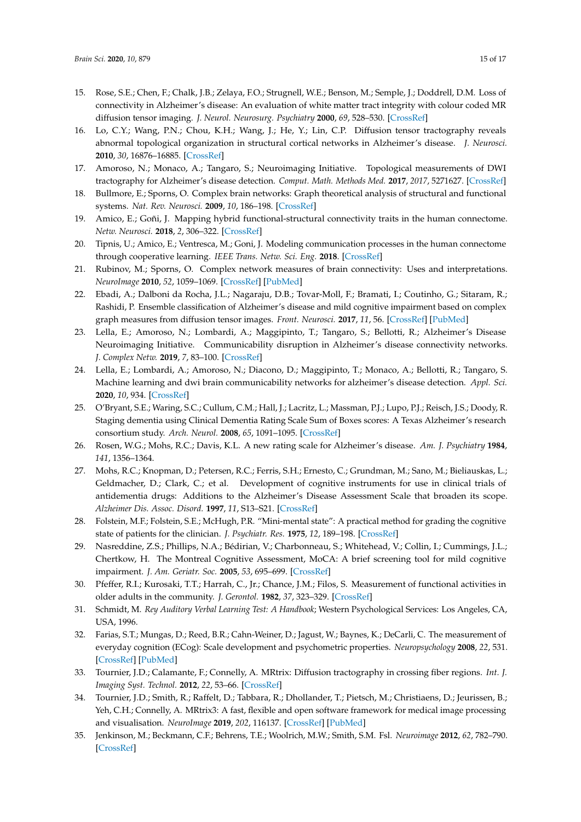- <span id="page-14-0"></span>15. Rose, S.E.; Chen, F.; Chalk, J.B.; Zelaya, F.O.; Strugnell, W.E.; Benson, M.; Semple, J.; Doddrell, D.M. Loss of connectivity in Alzheimer's disease: An evaluation of white matter tract integrity with colour coded MR diffusion tensor imaging. *J. Neurol. Neurosurg. Psychiatry* **2000**, *69*, 528–530. [\[CrossRef\]](http://dx.doi.org/10.1136/jnnp.69.4.528)
- <span id="page-14-1"></span>16. Lo, C.Y.; Wang, P.N.; Chou, K.H.; Wang, J.; He, Y.; Lin, C.P. Diffusion tensor tractography reveals abnormal topological organization in structural cortical networks in Alzheimer's disease. *J. Neurosci.* **2010**, *30*, 16876–16885. [\[CrossRef\]](http://dx.doi.org/10.1523/JNEUROSCI.4136-10.2010)
- <span id="page-14-2"></span>17. Amoroso, N.; Monaco, A.; Tangaro, S.; Neuroimaging Initiative. Topological measurements of DWI tractography for Alzheimer's disease detection. *Comput. Math. Methods Med.* **2017**, *2017*, 5271627. [\[CrossRef\]](http://dx.doi.org/10.1155/2017/5271627)
- <span id="page-14-3"></span>18. Bullmore, E.; Sporns, O. Complex brain networks: Graph theoretical analysis of structural and functional systems. *Nat. Rev. Neurosci.* **2009**, *10*, 186–198. [\[CrossRef\]](http://dx.doi.org/10.1038/nrn2575)
- 19. Amico, E.; Goñi, J. Mapping hybrid functional-structural connectivity traits in the human connectome. *Netw. Neurosci.* **2018**, *2*, 306–322. [\[CrossRef\]](http://dx.doi.org/10.1162/netn_a_00049)
- <span id="page-14-4"></span>20. Tipnis, U.; Amico, E.; Ventresca, M.; Goni, J. Modeling communication processes in the human connectome through cooperative learning. *IEEE Trans. Netw. Sci. Eng.* **2018**. [\[CrossRef\]](http://dx.doi.org/10.1109/TNSE.2018.2878487)
- <span id="page-14-5"></span>21. Rubinov, M.; Sporns, O. Complex network measures of brain connectivity: Uses and interpretations. *NeuroImage* **2010**, *52*, 1059–1069. [\[CrossRef\]](http://dx.doi.org/10.1016/j.neuroimage.2009.10.003) [\[PubMed\]](http://www.ncbi.nlm.nih.gov/pubmed/19819337)
- <span id="page-14-6"></span>22. Ebadi, A.; Dalboni da Rocha, J.L.; Nagaraju, D.B.; Tovar-Moll, F.; Bramati, I.; Coutinho, G.; Sitaram, R.; Rashidi, P. Ensemble classification of Alzheimer's disease and mild cognitive impairment based on complex graph measures from diffusion tensor images. *Front. Neurosci.* **2017**, *11*, 56. [\[CrossRef\]](http://dx.doi.org/10.3389/fnins.2017.00056) [\[PubMed\]](http://www.ncbi.nlm.nih.gov/pubmed/28293162)
- 23. Lella, E.; Amoroso, N.; Lombardi, A.; Maggipinto, T.; Tangaro, S.; Bellotti, R.; Alzheimer's Disease Neuroimaging Initiative. Communicability disruption in Alzheimer's disease connectivity networks. *J. Complex Netw.* **2019**, *7*, 83–100. [\[CrossRef\]](http://dx.doi.org/10.1093/comnet/cny009)
- <span id="page-14-7"></span>24. Lella, E.; Lombardi, A.; Amoroso, N.; Diacono, D.; Maggipinto, T.; Monaco, A.; Bellotti, R.; Tangaro, S. Machine learning and dwi brain communicability networks for alzheimer's disease detection. *Appl. Sci.* **2020**, *10*, 934. [\[CrossRef\]](http://dx.doi.org/10.3390/app10030934)
- <span id="page-14-8"></span>25. O'Bryant, S.E.; Waring, S.C.; Cullum, C.M.; Hall, J.; Lacritz, L.; Massman, P.J.; Lupo, P.J.; Reisch, J.S.; Doody, R. Staging dementia using Clinical Dementia Rating Scale Sum of Boxes scores: A Texas Alzheimer's research consortium study. *Arch. Neurol.* **2008**, *65*, 1091–1095. [\[CrossRef\]](http://dx.doi.org/10.1001/archneur.65.8.1091)
- <span id="page-14-9"></span>26. Rosen, W.G.; Mohs, R.C.; Davis, K.L. A new rating scale for Alzheimer's disease. *Am. J. Psychiatry* **1984**, *141*, 1356–1364.
- <span id="page-14-10"></span>27. Mohs, R.C.; Knopman, D.; Petersen, R.C.; Ferris, S.H.; Ernesto, C.; Grundman, M.; Sano, M.; Bieliauskas, L.; Geldmacher, D.; Clark, C.; et al. Development of cognitive instruments for use in clinical trials of antidementia drugs: Additions to the Alzheimer's Disease Assessment Scale that broaden its scope. *Alzheimer Dis. Assoc. Disord.* **1997**, *11*, S13–S21. [\[CrossRef\]](http://dx.doi.org/10.1097/00002093-199700112-00003)
- <span id="page-14-11"></span>28. Folstein, M.F.; Folstein, S.E.; McHugh, P.R. "Mini-mental state": A practical method for grading the cognitive state of patients for the clinician. *J. Psychiatr. Res.* **1975**, *12*, 189–198. [\[CrossRef\]](http://dx.doi.org/10.1016/0022-3956(75)90026-6)
- <span id="page-14-12"></span>29. Nasreddine, Z.S.; Phillips, N.A.; Bédirian, V.; Charbonneau, S.; Whitehead, V.; Collin, I.; Cummings, J.L.; Chertkow, H. The Montreal Cognitive Assessment, MoCA: A brief screening tool for mild cognitive impairment. *J. Am. Geriatr. Soc.* **2005**, *53*, 695–699. [\[CrossRef\]](http://dx.doi.org/10.1111/j.1532-5415.2005.53221.x)
- <span id="page-14-13"></span>30. Pfeffer, R.I.; Kurosaki, T.T.; Harrah, C., Jr.; Chance, J.M.; Filos, S. Measurement of functional activities in older adults in the community. *J. Gerontol.* **1982**, *37*, 323–329. [\[CrossRef\]](http://dx.doi.org/10.1093/geronj/37.3.323)
- <span id="page-14-14"></span>31. Schmidt, M. *Rey Auditory Verbal Learning Test: A Handbook*; Western Psychological Services: Los Angeles, CA, USA, 1996.
- <span id="page-14-15"></span>32. Farias, S.T.; Mungas, D.; Reed, B.R.; Cahn-Weiner, D.; Jagust, W.; Baynes, K.; DeCarli, C. The measurement of everyday cognition (ECog): Scale development and psychometric properties. *Neuropsychology* **2008**, *22*, 531. [\[CrossRef\]](http://dx.doi.org/10.1037/0894-4105.22.4.531) [\[PubMed\]](http://www.ncbi.nlm.nih.gov/pubmed/18590364)
- <span id="page-14-16"></span>33. Tournier, J.D.; Calamante, F.; Connelly, A. MRtrix: Diffusion tractography in crossing fiber regions. *Int. J. Imaging Syst. Technol.* **2012**, *22*, 53–66. [\[CrossRef\]](http://dx.doi.org/10.1002/ima.22005)
- <span id="page-14-17"></span>34. Tournier, J.D.; Smith, R.; Raffelt, D.; Tabbara, R.; Dhollander, T.; Pietsch, M.; Christiaens, D.; Jeurissen, B.; Yeh, C.H.; Connelly, A. MRtrix3: A fast, flexible and open software framework for medical image processing and visualisation. *NeuroImage* **2019**, *202*, 116137. [\[CrossRef\]](http://dx.doi.org/10.1016/j.neuroimage.2019.116137) [\[PubMed\]](http://www.ncbi.nlm.nih.gov/pubmed/31473352)
- <span id="page-14-18"></span>35. Jenkinson, M.; Beckmann, C.F.; Behrens, T.E.; Woolrich, M.W.; Smith, S.M. Fsl. *Neuroimage* **2012**, *62*, 782–790. [\[CrossRef\]](http://dx.doi.org/10.1016/j.neuroimage.2011.09.015)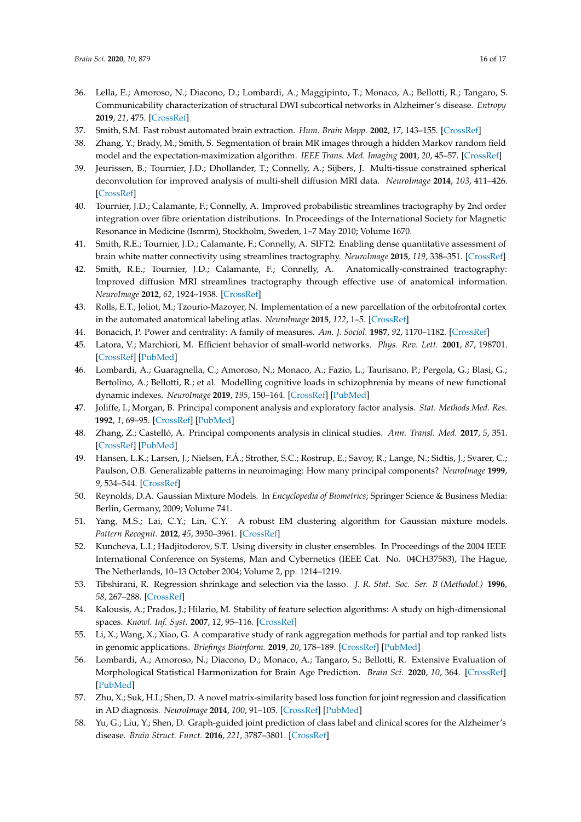- <span id="page-15-0"></span>36. Lella, E.; Amoroso, N.; Diacono, D.; Lombardi, A.; Maggipinto, T.; Monaco, A.; Bellotti, R.; Tangaro, S. Communicability characterization of structural DWI subcortical networks in Alzheimer's disease. *Entropy* **2019**, *21*, 475. [\[CrossRef\]](http://dx.doi.org/10.3390/e21050475)
- <span id="page-15-1"></span>37. Smith, S.M. Fast robust automated brain extraction. *Hum. Brain Mapp.* **2002**, *17*, 143–155. [\[CrossRef\]](http://dx.doi.org/10.1002/hbm.10062)
- <span id="page-15-2"></span>38. Zhang, Y.; Brady, M.; Smith, S. Segmentation of brain MR images through a hidden Markov random field model and the expectation-maximization algorithm. *IEEE Trans. Med. Imaging* **2001**, *20*, 45–57. [\[CrossRef\]](http://dx.doi.org/10.1109/42.906424)
- <span id="page-15-3"></span>39. Jeurissen, B.; Tournier, J.D.; Dhollander, T.; Connelly, A.; Sijbers, J. Multi-tissue constrained spherical deconvolution for improved analysis of multi-shell diffusion MRI data. *NeuroImage* **2014**, *103*, 411–426. [\[CrossRef\]](http://dx.doi.org/10.1016/j.neuroimage.2014.07.061)
- <span id="page-15-4"></span>40. Tournier, J.D.; Calamante, F.; Connelly, A. Improved probabilistic streamlines tractography by 2nd order integration over fibre orientation distributions. In Proceedings of the International Society for Magnetic Resonance in Medicine (Ismrm), Stockholm, Sweden, 1–7 May 2010; Volume 1670.
- <span id="page-15-5"></span>41. Smith, R.E.; Tournier, J.D.; Calamante, F.; Connelly, A. SIFT2: Enabling dense quantitative assessment of brain white matter connectivity using streamlines tractography. *NeuroImage* **2015**, *119*, 338–351. [\[CrossRef\]](http://dx.doi.org/10.1016/j.neuroimage.2015.06.092)
- <span id="page-15-6"></span>42. Smith, R.E.; Tournier, J.D.; Calamante, F.; Connelly, A. Anatomically-constrained tractography: Improved diffusion MRI streamlines tractography through effective use of anatomical information. *NeuroImage* **2012**, *62*, 1924–1938. [\[CrossRef\]](http://dx.doi.org/10.1016/j.neuroimage.2012.06.005)
- <span id="page-15-7"></span>43. Rolls, E.T.; Joliot, M.; Tzourio-Mazoyer, N. Implementation of a new parcellation of the orbitofrontal cortex in the automated anatomical labeling atlas. *NeuroImage* **2015**, *122*, 1–5. [\[CrossRef\]](http://dx.doi.org/10.1016/j.neuroimage.2015.07.075)
- <span id="page-15-8"></span>44. Bonacich, P. Power and centrality: A family of measures. *Am. J. Sociol.* **1987**, *92*, 1170–1182. [\[CrossRef\]](http://dx.doi.org/10.1086/228631)
- <span id="page-15-9"></span>45. Latora, V.; Marchiori, M. Efficient behavior of small-world networks. *Phys. Rev. Lett.* **2001**, *87*, 198701. [\[CrossRef\]](http://dx.doi.org/10.1103/PhysRevLett.87.198701) [\[PubMed\]](http://www.ncbi.nlm.nih.gov/pubmed/11690461)
- <span id="page-15-10"></span>46. Lombardi, A.; Guaragnella, C.; Amoroso, N.; Monaco, A.; Fazio, L.; Taurisano, P.; Pergola, G.; Blasi, G.; Bertolino, A.; Bellotti, R.; et al. Modelling cognitive loads in schizophrenia by means of new functional dynamic indexes. *NeuroImage* **2019**, *195*, 150–164. [\[CrossRef\]](http://dx.doi.org/10.1016/j.neuroimage.2019.03.055) [\[PubMed\]](http://www.ncbi.nlm.nih.gov/pubmed/30951846)
- <span id="page-15-11"></span>47. Joliffe, I.; Morgan, B. Principal component analysis and exploratory factor analysis. *Stat. Methods Med. Res.* **1992**, *1*, 69–95. [\[CrossRef\]](http://dx.doi.org/10.1177/096228029200100105) [\[PubMed\]](http://www.ncbi.nlm.nih.gov/pubmed/1341653)
- <span id="page-15-12"></span>48. Zhang, Z.; Castelló, A. Principal components analysis in clinical studies. *Ann. Transl. Med.* **2017**, *5*, 351. [\[CrossRef\]](http://dx.doi.org/10.21037/atm.2017.07.12) [\[PubMed\]](http://www.ncbi.nlm.nih.gov/pubmed/28936445)
- <span id="page-15-13"></span>49. Hansen, L.K.; Larsen, J.; Nielsen, F.Å.; Strother, S.C.; Rostrup, E.; Savoy, R.; Lange, N.; Sidtis, J.; Svarer, C.; Paulson, O.B. Generalizable patterns in neuroimaging: How many principal components? *NeuroImage* **1999**, *9*, 534–544. [\[CrossRef\]](http://dx.doi.org/10.1006/nimg.1998.0425)
- <span id="page-15-14"></span>50. Reynolds, D.A. Gaussian Mixture Models. In *Encyclopedia of Biometrics*; Springer Science & Business Media: Berlin, Germany, 2009; Volume 741.
- <span id="page-15-15"></span>51. Yang, M.S.; Lai, C.Y.; Lin, C.Y. A robust EM clustering algorithm for Gaussian mixture models. *Pattern Recognit.* **2012**, *45*, 3950–3961. [\[CrossRef\]](http://dx.doi.org/10.1016/j.patcog.2012.04.031)
- <span id="page-15-16"></span>52. Kuncheva, L.I.; Hadjitodorov, S.T. Using diversity in cluster ensembles. In Proceedings of the 2004 IEEE International Conference on Systems, Man and Cybernetics (IEEE Cat. No. 04CH37583), The Hague, The Netherlands, 10–13 October 2004; Volume 2, pp. 1214–1219.
- <span id="page-15-17"></span>53. Tibshirani, R. Regression shrinkage and selection via the lasso. *J. R. Stat. Soc. Ser. B (Methodol.)* **1996**, *58*, 267–288. [\[CrossRef\]](http://dx.doi.org/10.1111/j.2517-6161.1996.tb02080.x)
- <span id="page-15-18"></span>54. Kalousis, A.; Prados, J.; Hilario, M. Stability of feature selection algorithms: A study on high-dimensional spaces. *Knowl. Inf. Syst.* **2007**, *12*, 95–116. [\[CrossRef\]](http://dx.doi.org/10.1007/s10115-006-0040-8)
- <span id="page-15-19"></span>55. Li, X.; Wang, X.; Xiao, G. A comparative study of rank aggregation methods for partial and top ranked lists in genomic applications. *Briefings Bioinform.* **2019**, *20*, 178–189. [\[CrossRef\]](http://dx.doi.org/10.1093/bib/bbx101) [\[PubMed\]](http://www.ncbi.nlm.nih.gov/pubmed/28968705)
- <span id="page-15-20"></span>56. Lombardi, A.; Amoroso, N.; Diacono, D.; Monaco, A.; Tangaro, S.; Bellotti, R. Extensive Evaluation of Morphological Statistical Harmonization for Brain Age Prediction. *Brain Sci.* **2020**, *10*, 364. [\[CrossRef\]](http://dx.doi.org/10.3390/brainsci10060364) [\[PubMed\]](http://www.ncbi.nlm.nih.gov/pubmed/32545374)
- <span id="page-15-21"></span>57. Zhu, X.; Suk, H.I.; Shen, D. A novel matrix-similarity based loss function for joint regression and classification in AD diagnosis. *NeuroImage* **2014**, *100*, 91–105. [\[CrossRef\]](http://dx.doi.org/10.1016/j.neuroimage.2014.05.078) [\[PubMed\]](http://www.ncbi.nlm.nih.gov/pubmed/24911377)
- 58. Yu, G.; Liu, Y.; Shen, D. Graph-guided joint prediction of class label and clinical scores for the Alzheimer's disease. *Brain Struct. Funct.* **2016**, *221*, 3787–3801. [\[CrossRef\]](http://dx.doi.org/10.1007/s00429-015-1132-6)